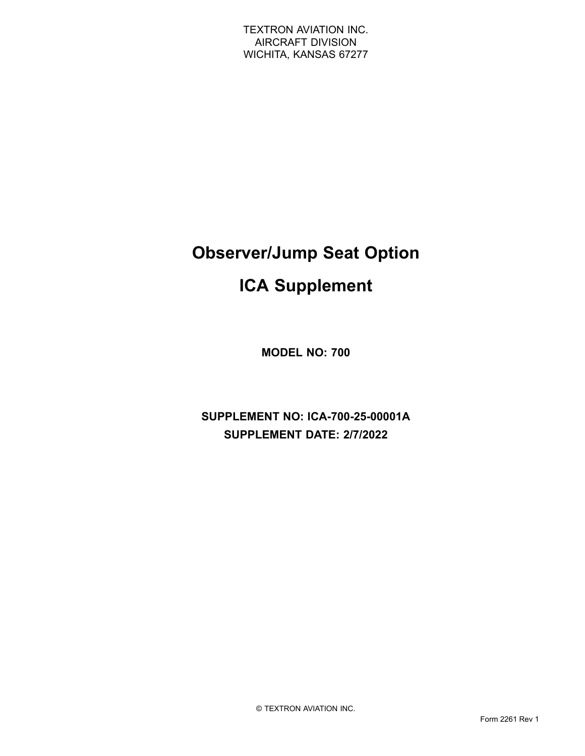# **Observer/Jump Seat Option**

## **ICA Supplement**

**MODEL NO: 700**

**SUPPLEMENT NO: ICA-700-25-00001A SUPPLEMENT DATE: 2/7/2022**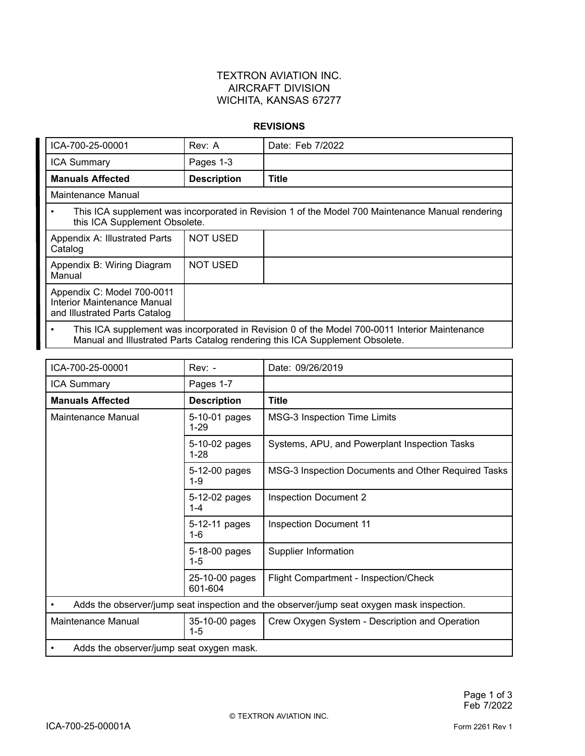#### **REVISIONS**

| ICA-700-25-00001                                                                                                                                                                           | Rev: A             | Date: Feb 7/2022 |  |  |
|--------------------------------------------------------------------------------------------------------------------------------------------------------------------------------------------|--------------------|------------------|--|--|
| <b>ICA Summary</b>                                                                                                                                                                         | Pages 1-3          |                  |  |  |
| <b>Manuals Affected</b>                                                                                                                                                                    | <b>Description</b> | <b>Title</b>     |  |  |
| Maintenance Manual                                                                                                                                                                         |                    |                  |  |  |
| This ICA supplement was incorporated in Revision 1 of the Model 700 Maintenance Manual rendering<br>$\bullet$<br>this ICA Supplement Obsolete.                                             |                    |                  |  |  |
| Appendix A: Illustrated Parts<br>Catalog                                                                                                                                                   | <b>NOT USED</b>    |                  |  |  |
| Appendix B: Wiring Diagram<br>Manual                                                                                                                                                       | <b>NOT USED</b>    |                  |  |  |
| Appendix C: Model 700-0011<br>Interior Maintenance Manual<br>and Illustrated Parts Catalog                                                                                                 |                    |                  |  |  |
| This ICA supplement was incorporated in Revision 0 of the Model 700-0011 Interior Maintenance<br>$\bullet$<br>Manual and Illustrated Parts Catalog rendering this ICA Supplement Obsolete. |                    |                  |  |  |

| $Rev: -$                                                                                  | Date: 09/26/2019                                    |  |  |  |
|-------------------------------------------------------------------------------------------|-----------------------------------------------------|--|--|--|
| Pages 1-7                                                                                 |                                                     |  |  |  |
| <b>Description</b>                                                                        | <b>Title</b>                                        |  |  |  |
| 5-10-01 pages<br>$1 - 29$                                                                 | <b>MSG-3 Inspection Time Limits</b>                 |  |  |  |
| 5-10-02 pages<br>$1 - 28$                                                                 | Systems, APU, and Powerplant Inspection Tasks       |  |  |  |
| 5-12-00 pages<br>$1 - 9$                                                                  | MSG-3 Inspection Documents and Other Required Tasks |  |  |  |
| 5-12-02 pages<br>$1 - 4$                                                                  | <b>Inspection Document 2</b>                        |  |  |  |
| 5-12-11 pages<br>$1 - 6$                                                                  | <b>Inspection Document 11</b>                       |  |  |  |
| 5-18-00 pages<br>$1 - 5$                                                                  | <b>Supplier Information</b>                         |  |  |  |
| 25-10-00 pages<br>601-604                                                                 | Flight Compartment - Inspection/Check               |  |  |  |
| Adds the observer/jump seat inspection and the observer/jump seat oxygen mask inspection. |                                                     |  |  |  |
| 35-10-00 pages<br>$1 - 5$                                                                 | Crew Oxygen System - Description and Operation      |  |  |  |
| Adds the observer/jump seat oxygen mask.                                                  |                                                     |  |  |  |
|                                                                                           |                                                     |  |  |  |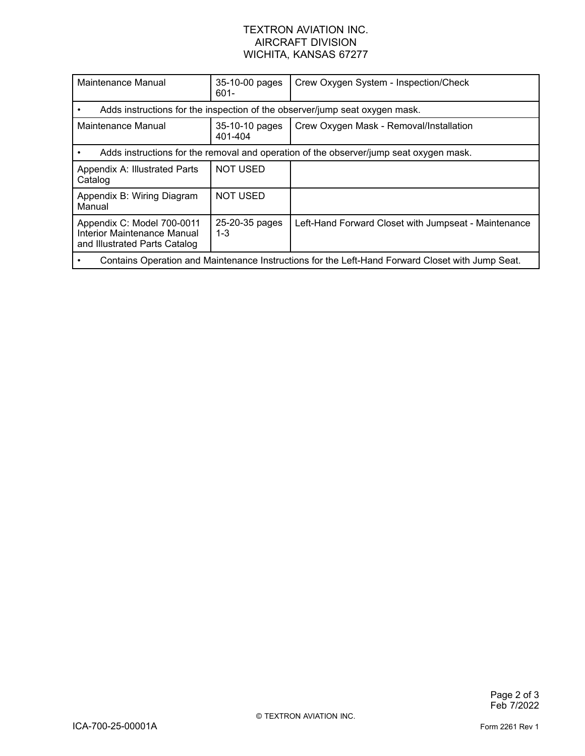| Maintenance Manual                                                                               | 35-10-00 pages<br>$601 -$ | Crew Oxygen System - Inspection/Check                |  |  |
|--------------------------------------------------------------------------------------------------|---------------------------|------------------------------------------------------|--|--|
| Adds instructions for the inspection of the observer/jump seat oxygen mask.                      |                           |                                                      |  |  |
| Maintenance Manual                                                                               | 35-10-10 pages<br>401-404 | Crew Oxygen Mask - Removal/Installation              |  |  |
| Adds instructions for the removal and operation of the observer/jump seat oxygen mask.           |                           |                                                      |  |  |
| Appendix A: Illustrated Parts<br>Catalog                                                         | <b>NOT USED</b>           |                                                      |  |  |
| Appendix B: Wiring Diagram<br>Manual                                                             | <b>NOT USED</b>           |                                                      |  |  |
| Appendix C: Model 700-0011<br>Interior Maintenance Manual<br>and Illustrated Parts Catalog       | 25-20-35 pages<br>$1 - 3$ | Left-Hand Forward Closet with Jumpseat - Maintenance |  |  |
| Contains Operation and Maintenance Instructions for the Left-Hand Forward Closet with Jump Seat. |                           |                                                      |  |  |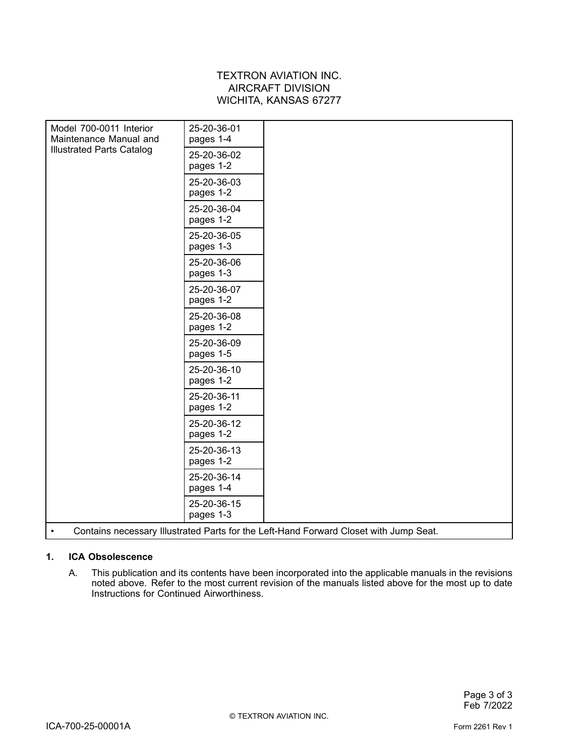| Model 700-0011 Interior<br>Maintenance Manual and<br><b>Illustrated Parts Catalog</b>              | 25-20-36-01<br>pages 1-4 |  |  |  |
|----------------------------------------------------------------------------------------------------|--------------------------|--|--|--|
|                                                                                                    | 25-20-36-02<br>pages 1-2 |  |  |  |
|                                                                                                    | 25-20-36-03<br>pages 1-2 |  |  |  |
|                                                                                                    | 25-20-36-04<br>pages 1-2 |  |  |  |
|                                                                                                    | 25-20-36-05<br>pages 1-3 |  |  |  |
|                                                                                                    | 25-20-36-06<br>pages 1-3 |  |  |  |
|                                                                                                    | 25-20-36-07<br>pages 1-2 |  |  |  |
|                                                                                                    | 25-20-36-08<br>pages 1-2 |  |  |  |
|                                                                                                    | 25-20-36-09<br>pages 1-5 |  |  |  |
|                                                                                                    | 25-20-36-10<br>pages 1-2 |  |  |  |
|                                                                                                    | 25-20-36-11<br>pages 1-2 |  |  |  |
|                                                                                                    | 25-20-36-12<br>pages 1-2 |  |  |  |
|                                                                                                    | 25-20-36-13<br>pages 1-2 |  |  |  |
|                                                                                                    | 25-20-36-14<br>pages 1-4 |  |  |  |
|                                                                                                    | 25-20-36-15<br>pages 1-3 |  |  |  |
| Contains necessary Illustrated Parts for the Left-Hand Forward Closet with Jump Seat.<br>$\bullet$ |                          |  |  |  |

#### **1. ICA Obsolescence**

A. This publication and its contents have been incorporated into the applicable manuals in the revisions noted above. Refer to the most current revision of the manuals listed above for the most up to date Instructions for Continued Airworthiness.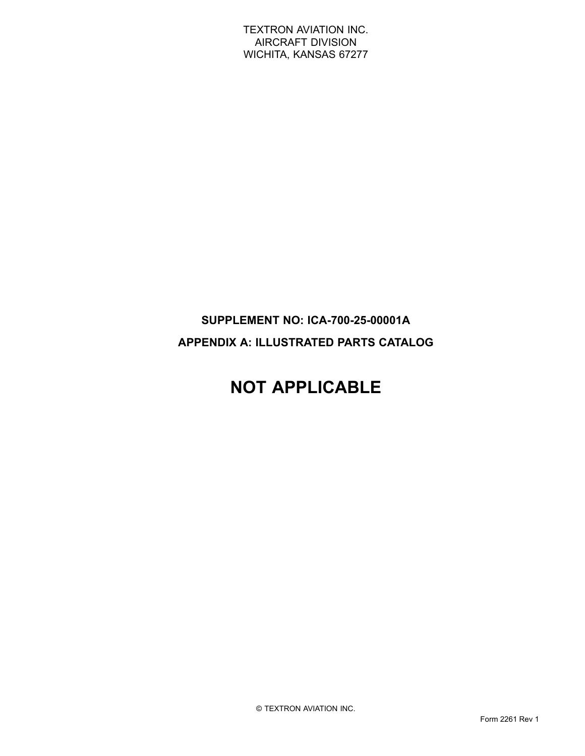### **SUPPLEMENT NO: ICA-700-25-00001A APPENDIX A: ILLUSTRATED PARTS CATALOG**

## **NOT APPLICABLE**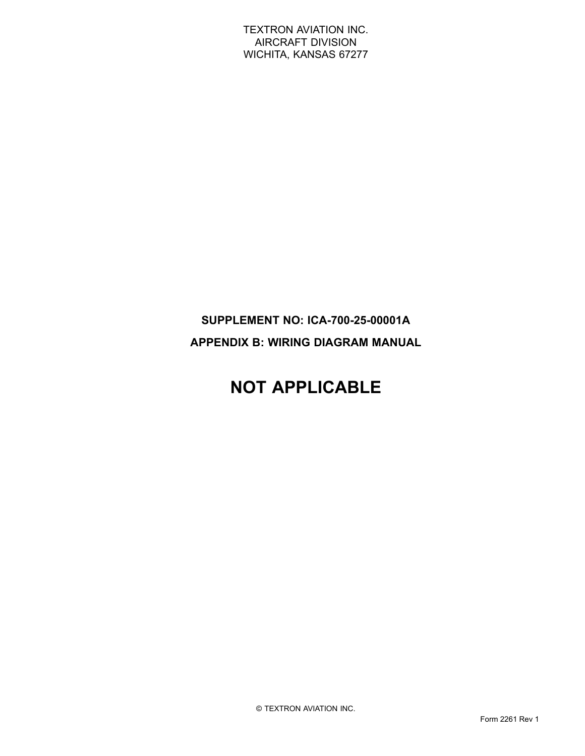## **SUPPLEMENT NO: ICA-700-25-00001A APPENDIX B: WIRING DIAGRAM MANUAL**

## **NOT APPLICABLE**